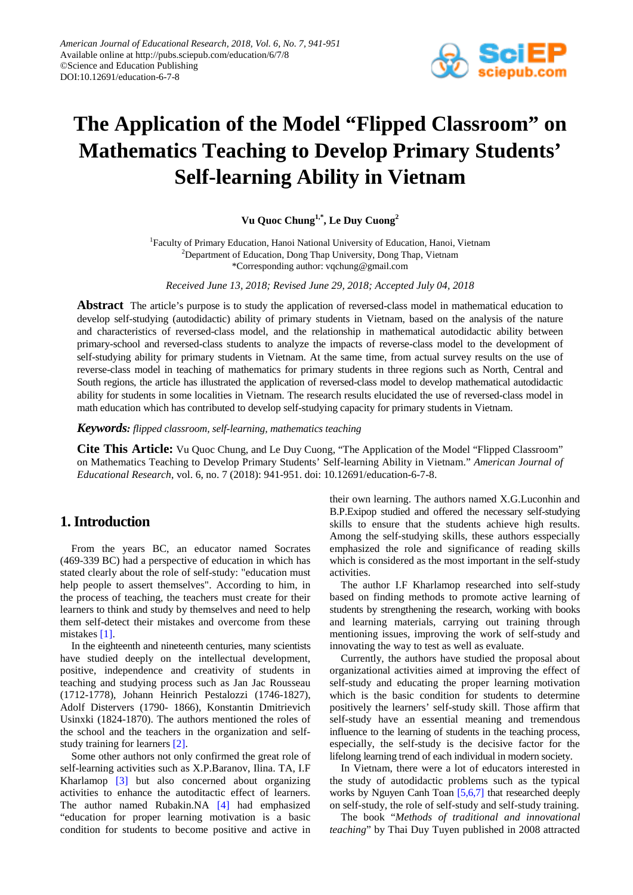

# **The Application of the Model "Flipped Classroom" on Mathematics Teaching to Develop Primary Students' Self-learning Ability in Vietnam**

**Vu Quoc Chung1,\*, Le Duy Cuong<sup>2</sup>**

<sup>1</sup>Faculty of Primary Education, Hanoi National University of Education, Hanoi, Vietnam <sup>2</sup>Department of Education, Dong Thap University, Dong Thap, Vietnam \*Corresponding author: vqchung@gmail.com

*Received June 13, 2018; Revised June 29, 2018; Accepted July 04, 2018*

**Abstract** The article's purpose is to study the application of reversed-class model in mathematical education to develop self-studying (autodidactic) ability of primary students in Vietnam, based on the analysis of the nature and characteristics of reversed-class model, and the relationship in mathematical autodidactic ability between primary-school and reversed-class students to analyze the impacts of reverse-class model to the development of self-studying ability for primary students in Vietnam. At the same time, from actual survey results on the use of reverse-class model in teaching of mathematics for primary students in three regions such as North, Central and South regions, the article has illustrated the application of reversed-class model to develop mathematical autodidactic ability for students in some localities in Vietnam. The research results elucidated the use of reversed-class model in math education which has contributed to develop self-studying capacity for primary students in Vietnam.

*Keywords: flipped classroom, self-learning, mathematics teaching*

**Cite This Article:** Vu Quoc Chung, and Le Duy Cuong, "The Application of the Model "Flipped Classroom" on Mathematics Teaching to Develop Primary Students' Self-learning Ability in Vietnam." *American Journal of Educational Research*, vol. 6, no. 7 (2018): 941-951. doi: 10.12691/education-6-7-8.

# **1. Introduction**

From the years BC, an educator named Socrates (469-339 BC) had a perspective of education in which has stated clearly about the role of self-study: "education must help people to assert themselves". According to him, in the process of teaching, the teachers must create for their learners to think and study by themselves and need to help them self-detect their mistakes and overcome from these mistakes [\[1\].](#page-10-0)

In the eighteenth and nineteenth centuries, many scientists have studied deeply on the intellectual development, positive, independence and creativity of students in teaching and studying process such as Jan Jac Rousseau (1712-1778), Johann Heinrich Pestalozzi (1746-1827), Adolf Distervers (1790- 1866), Konstantin Dmitrievich Usinxki (1824-1870). The authors mentioned the roles of the school and the teachers in the organization and selfstudy training for learners [\[2\].](#page-10-1)

Some other authors not only confirmed the great role of self-learning activities such as X.P.Baranov, Ilina. TA, I.F Kharlamop [\[3\]](#page-10-2) but also concerned about organizing activities to enhance the autoditactic effect of learners. The author named Rubakin.NA [\[4\]](#page-10-3) had emphasized "education for proper learning motivation is a basic condition for students to become positive and active in

their own learning. The authors named X.G.Luconhin and B.P.Exipop studied and offered the necessary self-studying skills to ensure that the students achieve high results. Among the self-studying skills, these authors esspecially emphasized the role and significance of reading skills which is considered as the most important in the self-study activities.

The author I.F Kharlamop researched into self-study based on finding methods to promote active learning of students by strengthening the research, working with books and learning materials, carrying out training through mentioning issues, improving the work of self-study and innovating the way to test as well as evaluate.

Currently, the authors have studied the proposal about organizational activities aimed at improving the effect of self-study and educating the proper learning motivation which is the basic condition for students to determine positively the learners' self-study skill. Those affirm that self-study have an essential meaning and tremendous influence to the learning of students in the teaching process, especially, the self-study is the decisive factor for the lifelong learning trend of each individual in modern society.

In Vietnam, there were a lot of educators interested in the study of autodidactic problems such as the typical works by Nguyen Canh Toan [\[5,6,7\]](#page-10-4) that researched deeply on self-study, the role of self-study and self-study training.

The book "*Methods of traditional and innovational teaching*" by Thai Duy Tuyen published in 2008 attracted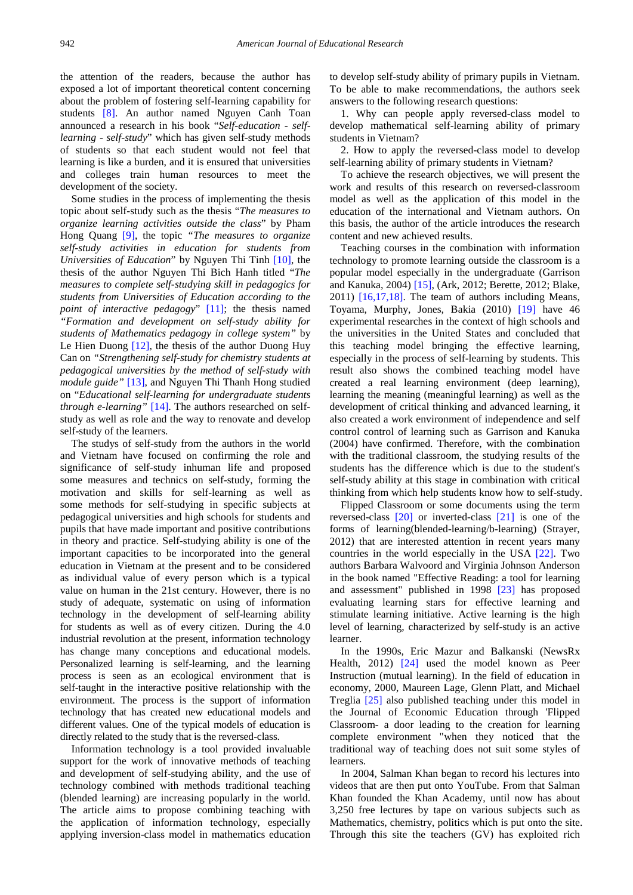the attention of the readers, because the author has exposed a lot of important theoretical content concerning about the problem of fostering self-learning capability for students [\[8\].](#page-10-5) An author named Nguyen Canh Toan announced a research in his book "*Self-education - selflearning - self-study*" which has given self-study methods of students so that each student would not feel that learning is like a burden, and it is ensured that universities and colleges train human resources to meet the development of the society.

Some studies in the process of implementing the thesis topic about self-study such as the thesis "*The measures to organize learning activities outside the class*" by Pham Hong Quang [\[9\],](#page-10-6) the topic *"The measures to organize self-study activities in education for students from Universities of Education*" by Nguyen Thi Tinh [\[10\],](#page-10-7) the thesis of the author Nguyen Thi Bich Hanh titled "*The measures to complete self-studying skill in pedagogics for students from Universities of Education according to the point of interactive pedagogy*" [\[11\];](#page-10-8) the thesis named *"Formation and development on self-study ability for students of Mathematics pedagogy in college system"* by Le Hien Duong [\[12\],](#page-10-9) the thesis of the author Duong Huy Can on *"Strengthening self-study for chemistry students at pedagogical universities by the method of self-study with module guide"* [\[13\],](#page-10-10) and Nguyen Thi Thanh Hong studied on "*Educational self-learning for undergraduate students through e-learning*" [\[14\].](#page-10-11) The authors researched on selfstudy as well as role and the way to renovate and develop self-study of the learners.

The studys of self-study from the authors in the world and Vietnam have focused on confirming the role and significance of self-study inhuman life and proposed some measures and technics on self-study, forming the motivation and skills for self-learning as well as some methods for self-studying in specific subjects at pedagogical universities and high schools for students and pupils that have made important and positive contributions in theory and practice. Self-studying ability is one of the important capacities to be incorporated into the general education in Vietnam at the present and to be considered as individual value of every person which is a typical value on human in the 21st century. However, there is no study of adequate, systematic on using of information technology in the development of self-learning ability for students as well as of every citizen. During the 4.0 industrial revolution at the present, information technology has change many conceptions and educational models. Personalized learning is self-learning, and the learning process is seen as an ecological environment that is self-taught in the interactive positive relationship with the environment. The process is the support of information technology that has created new educational models and different values. One of the typical models of education is directly related to the study that is the reversed-class.

Information technology is a tool provided invaluable support for the work of innovative methods of teaching and development of self-studying ability, and the use of technology combined with methods traditional teaching (blended learning) are increasing popularly in the world. The article aims to propose combining teaching with the application of information technology, especially applying inversion-class model in mathematics education to develop self-study ability of primary pupils in Vietnam. To be able to make recommendations, the authors seek answers to the following research questions:

1. Why can people apply reversed-class model to develop mathematical self-learning ability of primary students in Vietnam?

2. How to apply the reversed-class model to develop self-learning ability of primary students in Vietnam?

To achieve the research objectives, we will present the work and results of this research on reversed-classroom model as well as the application of this model in the education of the international and Vietnam authors. On this basis, the author of the article introduces the research content and new achieved results.

Teaching courses in the combination with information technology to promote learning outside the classroom is a popular model especially in the undergraduate (Garrison and Kanuka, 2004) [\[15\],](#page-10-12) (Ark, 2012; Berette, 2012; Blake, 2011) [\[16,17,18\].](#page-10-13) The team of authors including Means, Toyama, Murphy, Jones, Bakia (2010) [\[19\]](#page-10-14) have 46 experimental researches in the context of high schools and the universities in the United States and concluded that this teaching model bringing the effective learning, especially in the process of self-learning by students. This result also shows the combined teaching model have created a real learning environment (deep learning), learning the meaning (meaningful learning) as well as the development of critical thinking and advanced learning, it also created a work environment of independence and self control control of learning such as Garrison and Kanuka (2004) have confirmed. Therefore, with the combination with the traditional classroom, the studying results of the students has the difference which is due to the student's self-study ability at this stage in combination with critical thinking from which help students know how to self-study.

Flipped Classroom or some documents using the term reversed-class [\[20\]](#page-10-15) or inverted-class [\[21\]](#page-10-16) is one of the forms of learning(blended-learning/b-learning) (Strayer, 2012) that are interested attention in recent years many countries in the world especially in the USA [\[22\].](#page-10-17) Two authors Barbara Walvoord and Virginia Johnson Anderson in the book named "Effective Reading: a tool for learning and assessment" published in 1998 [\[23\]](#page-10-18) has proposed evaluating learning stars for effective learning and stimulate learning initiative. Active learning is the high level of learning, characterized by self-study is an active learner.

In the 1990s, Eric Mazur and Balkanski (NewsRx Health, 2012) [\[24\]](#page-10-19) used the model known as Peer Instruction (mutual learning). In the field of education in economy, 2000, Maureen Lage, Glenn Platt, and Michael Treglia [\[25\]](#page-10-20) also published teaching under this model in the Journal of Economic Education through 'Flipped Classroom- a door leading to the creation for learning complete environment "when they noticed that the traditional way of teaching does not suit some styles of learners.

In 2004, Salman Khan began to record his lectures into videos that are then put onto YouTube. From that Salman Khan founded the Khan Academy, until now has about 3,250 free lectures by tape on various subjects such as Mathematics, chemistry, politics which is put onto the site. Through this site the teachers (GV) has exploited rich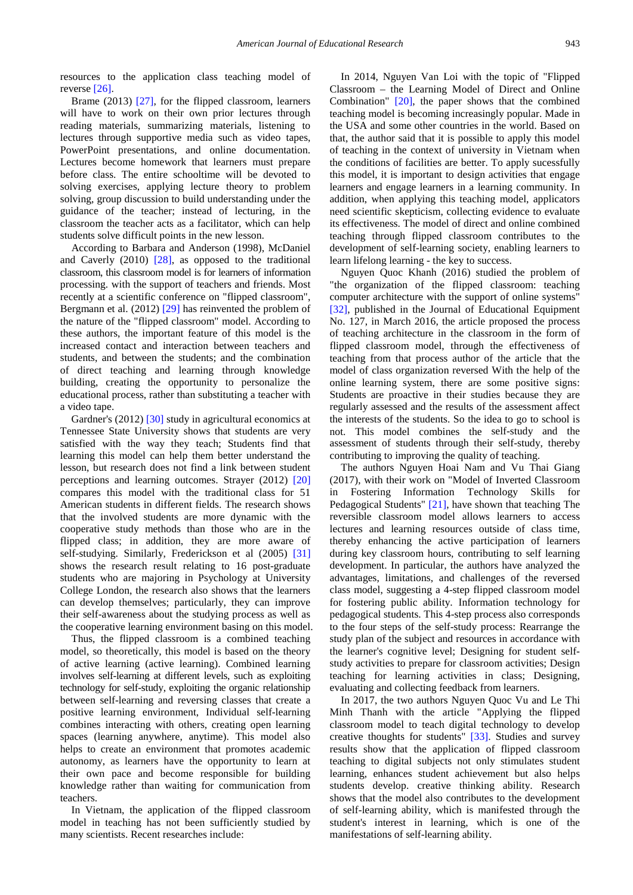resources to the application class teaching model of reverse [\[26\].](#page-10-21)

Brame (2013) [\[27\],](#page-10-22) for the flipped classroom, learners will have to work on their own prior lectures through reading materials, summarizing materials, listening to lectures through supportive media such as video tapes, PowerPoint presentations, and online documentation. Lectures become homework that learners must prepare before class. The entire schooltime will be devoted to solving exercises, applying lecture theory to problem solving, group discussion to build understanding under the guidance of the teacher; instead of lecturing, in the classroom the teacher acts as a facilitator, which can help students solve difficult points in the new lesson.

According to Barbara and Anderson (1998), McDaniel and Caverly (2010) [\[28\],](#page-10-23) as opposed to the traditional classroom, this classroom model is for learners of information processing. with the support of teachers and friends. Most recently at a scientific conference on "flipped classroom", Bergmann et al. (2012[\) \[29\]](#page-10-24) has reinvented the problem of the nature of the "flipped classroom" model. According to these authors, the important feature of this model is the increased contact and interaction between teachers and students, and between the students; and the combination of direct teaching and learning through knowledge building, creating the opportunity to personalize the educational process, rather than substituting a teacher with a video tape.

Gardner's (2012) [\[30\]](#page-10-25) study in agricultural economics at Tennessee State University shows that students are very satisfied with the way they teach; Students find that learning this model can help them better understand the lesson, but research does not find a link between student perceptions and learning outcomes. Strayer (2012) [\[20\]](#page-10-15) compares this model with the traditional class for 51 American students in different fields. The research shows that the involved students are more dynamic with the cooperative study methods than those who are in the flipped class; in addition, they are more aware of self-studying. Similarly, Frederickson et al (2005) [\[31\]](#page-10-26) shows the research result relating to 16 post-graduate students who are majoring in Psychology at University College London, the research also shows that the learners can develop themselves; particularly, they can improve their self-awareness about the studying process as well as the cooperative learning environment basing on this model.

Thus, the flipped classroom is a combined teaching model, so theoretically, this model is based on the theory of active learning (active learning). Combined learning involves self-learning at different levels, such as exploiting technology for self-study, exploiting the organic relationship between self-learning and reversing classes that create a positive learning environment, Individual self-learning combines interacting with others, creating open learning spaces (learning anywhere, anytime). This model also helps to create an environment that promotes academic autonomy, as learners have the opportunity to learn at their own pace and become responsible for building knowledge rather than waiting for communication from teachers.

In Vietnam, the application of the flipped classroom model in teaching has not been sufficiently studied by many scientists. Recent researches include:

In 2014, Nguyen Van Loi with the topic of "Flipped Classroom – the Learning Model of Direct and Online Combination" [\[20\],](#page-10-15) the paper shows that the combined teaching model is becoming increasingly popular. Made in the USA and some other countries in the world. Based on that, the author said that it is possible to apply this model of teaching in the context of university in Vietnam when the conditions of facilities are better. To apply sucessfully this model, it is important to design activities that engage learners and engage learners in a learning community. In addition, when applying this teaching model, applicators need scientific skepticism, collecting evidence to evaluate its effectiveness. The model of direct and online combined teaching through flipped classroom contributes to the development of self-learning society, enabling learners to learn lifelong learning - the key to success.

Nguyen Quoc Khanh (2016) studied the problem of "the organization of the flipped classroom: teaching computer architecture with the support of online systems" [\[32\],](#page-10-27) published in the Journal of Educational Equipment No. 127, in March 2016, the article proposed the process of teaching architecture in the classroom in the form of flipped classroom model, through the effectiveness of teaching from that process author of the article that the model of class organization reversed With the help of the online learning system, there are some positive signs: Students are proactive in their studies because they are regularly assessed and the results of the assessment affect the interests of the students. So the idea to go to school is not. This model combines the self-study and the assessment of students through their self-study, thereby contributing to improving the quality of teaching.

The authors Nguyen Hoai Nam and Vu Thai Giang (2017), with their work on "Model of Inverted Classroom in Fostering Information Technology Skills for Pedagogical Students" [\[21\],](#page-10-16) have shown that teaching The reversible classroom model allows learners to access lectures and learning resources outside of class time, thereby enhancing the active participation of learners during key classroom hours, contributing to self learning development. In particular, the authors have analyzed the advantages, limitations, and challenges of the reversed class model, suggesting a 4-step flipped classroom model for fostering public ability. Information technology for pedagogical students. This 4-step process also corresponds to the four steps of the self-study process: Rearrange the study plan of the subject and resources in accordance with the learner's cognitive level; Designing for student selfstudy activities to prepare for classroom activities; Design teaching for learning activities in class; Designing, evaluating and collecting feedback from learners.

In 2017, the two authors Nguyen Quoc Vu and Le Thi Minh Thanh with the article "Applying the flipped classroom model to teach digital technology to develop creative thoughts for students" [\[33\].](#page-10-28) Studies and survey results show that the application of flipped classroom teaching to digital subjects not only stimulates student learning, enhances student achievement but also helps students develop. creative thinking ability. Research shows that the model also contributes to the development of self-learning ability, which is manifested through the student's interest in learning, which is one of the manifestations of self-learning ability.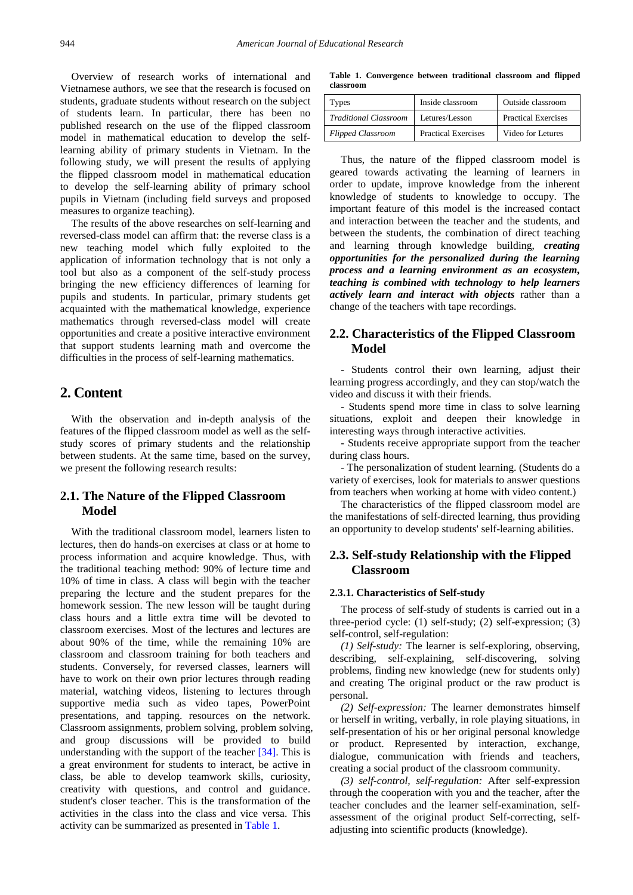Overview of research works of international and Vietnamese authors, we see that the research is focused on students, graduate students without research on the subject of students learn. In particular, there has been no published research on the use of the flipped classroom model in mathematical education to develop the selflearning ability of primary students in Vietnam. In the following study, we will present the results of applying the flipped classroom model in mathematical education to develop the self-learning ability of primary school pupils in Vietnam (including field surveys and proposed measures to organize teaching).

The results of the above researches on self-learning and reversed-class model can affirm that: the reverse class is a new teaching model which fully exploited to the application of information technology that is not only a tool but also as a component of the self-study process bringing the new efficiency differences of learning for pupils and students. In particular, primary students get acquainted with the mathematical knowledge, experience mathematics through reversed-class model will create opportunities and create a positive interactive environment that support students learning math and overcome the difficulties in the process of self-learning mathematics.

# **2. Content**

With the observation and in-depth analysis of the features of the flipped classroom model as well as the selfstudy scores of primary students and the relationship between students. At the same time, based on the survey, we present the following research results:

## **2.1. The Nature of the Flipped Classroom Model**

With the traditional classroom model, learners listen to lectures, then do hands-on exercises at class or at home to process information and acquire knowledge. Thus, with the traditional teaching method: 90% of lecture time and 10% of time in class. A class will begin with the teacher preparing the lecture and the student prepares for the homework session. The new lesson will be taught during class hours and a little extra time will be devoted to classroom exercises. Most of the lectures and lectures are about 90% of the time, while the remaining 10% are classroom and classroom training for both teachers and students. Conversely, for reversed classes, learners will have to work on their own prior lectures through reading material, watching videos, listening to lectures through supportive media such as video tapes, PowerPoint presentations, and tapping. resources on the network. Classroom assignments, problem solving, problem solving, and group discussions will be provided to build understanding with the support of the teacher [\[34\].](#page-10-29) This is a great environment for students to interact, be active in class, be able to develop teamwork skills, curiosity, creativity with questions, and control and guidance. student's closer teacher. This is the transformation of the activities in the class into the class and vice versa. This activity can be summarized as presented in [Table 1.](#page-3-0)

**Table 1. Convergence between traditional classroom and flipped classroom**

<span id="page-3-0"></span>

| Types                    | Inside classroom           | Outside classroom          |
|--------------------------|----------------------------|----------------------------|
| Traditional Classroom    | Letures/Lesson             | <b>Practical Exercises</b> |
| <b>Flipped Classroom</b> | <b>Practical Exercises</b> | Video for Letures          |

Thus, the nature of the flipped classroom model is geared towards activating the learning of learners in order to update, improve knowledge from the inherent knowledge of students to knowledge to occupy. The important feature of this model is the increased contact and interaction between the teacher and the students, and between the students, the combination of direct teaching and learning through knowledge building, *creating opportunities for the personalized during the learning process and a learning environment as an ecosystem, teaching is combined with technology to help learners actively learn and interact with objects* rather than a change of the teachers with tape recordings.

## **2.2. Characteristics of the Flipped Classroom Model**

- Students control their own learning, adjust their learning progress accordingly, and they can stop/watch the video and discuss it with their friends.

- Students spend more time in class to solve learning situations, exploit and deepen their knowledge in interesting ways through interactive activities.

- Students receive appropriate support from the teacher during class hours.

- The personalization of student learning. (Students do a variety of exercises, look for materials to answer questions from teachers when working at home with video content.)

The characteristics of the flipped classroom model are the manifestations of self-directed learning, thus providing an opportunity to develop students' self-learning abilities.

## **2.3. Self-study Relationship with the Flipped Classroom**

#### **2.3.1. Characteristics of Self-study**

The process of self-study of students is carried out in a three-period cycle: (1) self-study; (2) self-expression; (3) self-control, self-regulation:

*(1) Self-study:* The learner is self-exploring, observing, describing, self-explaining, self-discovering, solving problems, finding new knowledge (new for students only) and creating The original product or the raw product is personal.

*(2) Self-expression:* The learner demonstrates himself or herself in writing, verbally, in role playing situations, in self-presentation of his or her original personal knowledge or product. Represented by interaction, exchange, dialogue, communication with friends and teachers, creating a social product of the classroom community.

*(3) self-control, self-regulation:* After self-expression through the cooperation with you and the teacher, after the teacher concludes and the learner self-examination, selfassessment of the original product Self-correcting, selfadjusting into scientific products (knowledge).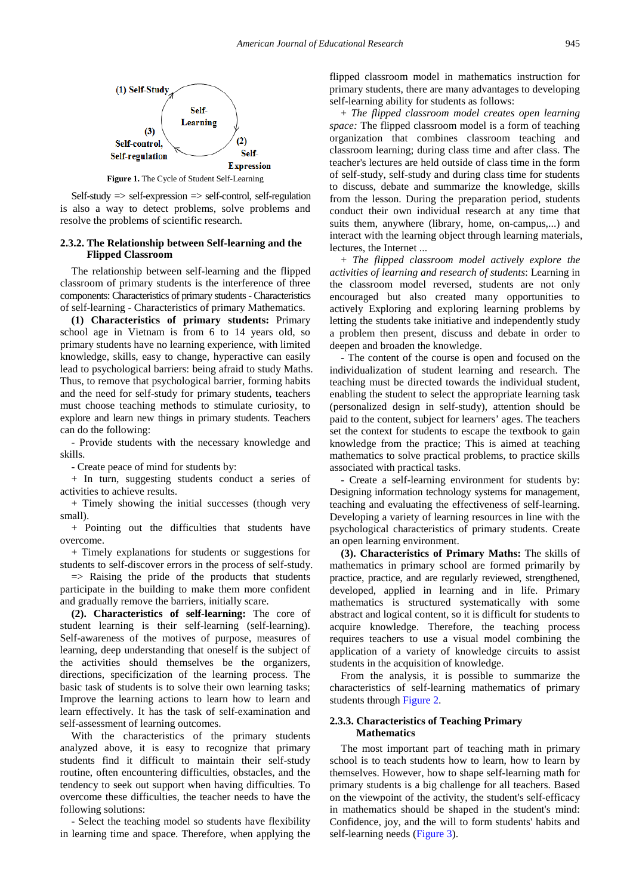

 $\text{Self-study} \Rightarrow \text{self-expression} \Rightarrow \text{self-control}, \text{ self-regulation}$ is also a way to detect problems, solve problems and resolve the problems of scientific research.

## **2.3.2. The Relationship between Self-learning and the Flipped Classroom**

The relationship between self-learning and the flipped classroom of primary students is the interference of three components: Characteristics of primary students - Characteristics of self-learning - Characteristics of primary Mathematics.

**(1) Characteristics of primary students:** Primary school age in Vietnam is from 6 to 14 years old, so primary students have no learning experience, with limited knowledge, skills, easy to change, hyperactive can easily lead to psychological barriers: being afraid to study Maths. Thus, to remove that psychological barrier, forming habits and the need for self-study for primary students, teachers must choose teaching methods to stimulate curiosity, to explore and learn new things in primary students. Teachers can do the following:

- Provide students with the necessary knowledge and skills.

- Create peace of mind for students by:

+ In turn, suggesting students conduct a series of activities to achieve results.

+ Timely showing the initial successes (though very small).

+ Pointing out the difficulties that students have overcome.

+ Timely explanations for students or suggestions for students to self-discover errors in the process of self-study.

 $\Rightarrow$  Raising the pride of the products that students participate in the building to make them more confident and gradually remove the barriers, initially scare.

**(2). Characteristics of self-learning:** The core of student learning is their self-learning (self-learning). Self-awareness of the motives of purpose, measures of learning, deep understanding that oneself is the subject of the activities should themselves be the organizers, directions, specificization of the learning process. The basic task of students is to solve their own learning tasks; Improve the learning actions to learn how to learn and learn effectively. It has the task of self-examination and self-assessment of learning outcomes.

With the characteristics of the primary students analyzed above, it is easy to recognize that primary students find it difficult to maintain their self-study routine, often encountering difficulties, obstacles, and the tendency to seek out support when having difficulties. To overcome these difficulties, the teacher needs to have the following solutions:

- Select the teaching model so students have flexibility in learning time and space. Therefore, when applying the flipped classroom model in mathematics instruction for primary students, there are many advantages to developing self-learning ability for students as follows:

+ *The flipped classroom model creates open learning space:* The flipped classroom model is a form of teaching organization that combines classroom teaching and classroom learning; during class time and after class. The teacher's lectures are held outside of class time in the form of self-study, self-study and during class time for students to discuss, debate and summarize the knowledge, skills from the lesson. During the preparation period, students conduct their own individual research at any time that suits them, anywhere (library, home, on-campus,...) and interact with the learning object through learning materials, lectures, the Internet ...

+ *The flipped classroom model actively explore the activities of learning and research of students*: Learning in the classroom model reversed, students are not only encouraged but also created many opportunities to actively Exploring and exploring learning problems by letting the students take initiative and independently study a problem then present, discuss and debate in order to deepen and broaden the knowledge.

- The content of the course is open and focused on the individualization of student learning and research. The teaching must be directed towards the individual student, enabling the student to select the appropriate learning task (personalized design in self-study), attention should be paid to the content, subject for learners' ages. The teachers set the context for students to escape the textbook to gain knowledge from the practice; This is aimed at teaching mathematics to solve practical problems, to practice skills associated with practical tasks.

- Create a self-learning environment for students by: Designing information technology systems for management, teaching and evaluating the effectiveness of self-learning. Developing a variety of learning resources in line with the psychological characteristics of primary students. Create an open learning environment.

**(3). Characteristics of Primary Maths:** The skills of mathematics in primary school are formed primarily by practice, practice, and are regularly reviewed, strengthened, developed, applied in learning and in life. Primary mathematics is structured systematically with some abstract and logical content, so it is difficult for students to acquire knowledge. Therefore, the teaching process requires teachers to use a visual model combining the application of a variety of knowledge circuits to assist students in the acquisition of knowledge.

From the analysis, it is possible to summarize the characteristics of self-learning mathematics of primary students through [Figure 2.](#page-5-0)

#### **2.3.3. Characteristics of Teaching Primary Mathematics**

The most important part of teaching math in primary school is to teach students how to learn, how to learn by themselves. However, how to shape self-learning math for primary students is a big challenge for all teachers. Based on the viewpoint of the activity, the student's self-efficacy in mathematics should be shaped in the student's mind: Confidence, joy, and the will to form students' habits and self-learning needs [\(Figure 3\)](#page-5-1).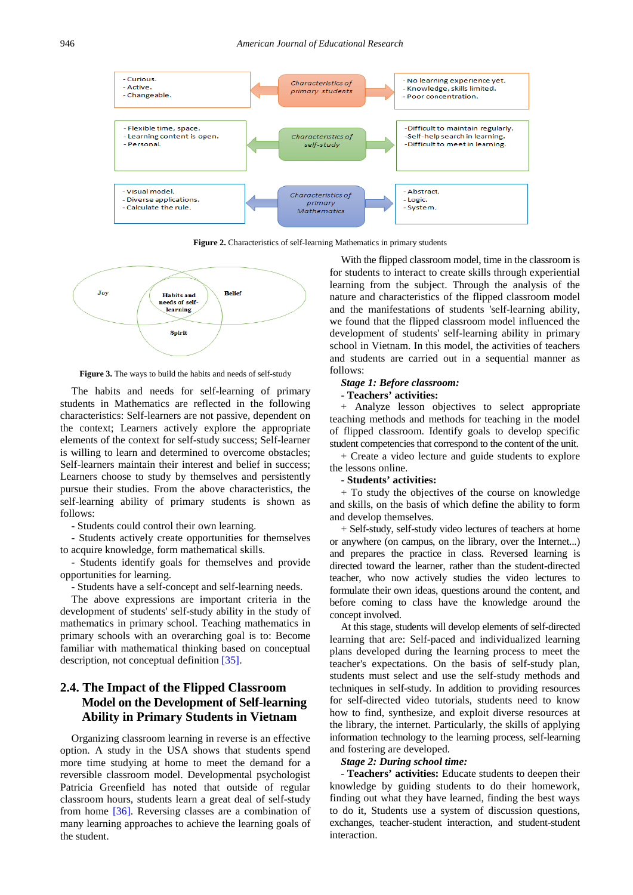<span id="page-5-0"></span>

Figure 2. Characteristics of self-learning Mathematics in primary students

<span id="page-5-1"></span>

**Figure 3.** The ways to build the habits and needs of self-study

The habits and needs for self-learning of primary students in Mathematics are reflected in the following characteristics: Self-learners are not passive, dependent on the context; Learners actively explore the appropriate elements of the context for self-study success; Self-learner is willing to learn and determined to overcome obstacles; Self-learners maintain their interest and belief in success; Learners choose to study by themselves and persistently pursue their studies. From the above characteristics, the self-learning ability of primary students is shown as follows:

- Students could control their own learning.

- Students actively create opportunities for themselves to acquire knowledge, form mathematical skills.

- Students identify goals for themselves and provide opportunities for learning.

- Students have a self-concept and self-learning needs.

The above expressions are important criteria in the development of students' self-study ability in the study of mathematics in primary school. Teaching mathematics in primary schools with an overarching goal is to: Become familiar with mathematical thinking based on conceptual description, not conceptual definition [\[35\].](#page-10-30)

## **2.4. The Impact of the Flipped Classroom Model on the Development of Self-learning Ability in Primary Students in Vietnam**

Organizing classroom learning in reverse is an effective option. A study in the USA shows that students spend more time studying at home to meet the demand for a reversible classroom model. Developmental psychologist Patricia Greenfield has noted that outside of regular classroom hours, students learn a great deal of self-study from home [\[36\].](#page-10-31) Reversing classes are a combination of many learning approaches to achieve the learning goals of the student.

With the flipped classroom model, time in the classroom is for students to interact to create skills through experiential learning from the subject. Through the analysis of the nature and characteristics of the flipped classroom model and the manifestations of students 'self-learning ability, we found that the flipped classroom model influenced the development of students' self-learning ability in primary school in Vietnam. In this model, the activities of teachers and students are carried out in a sequential manner as follows:

#### *Stage 1: Before classroom:*

#### **- Teachers' activities:**

+ Analyze lesson objectives to select appropriate teaching methods and methods for teaching in the model of flipped classroom. Identify goals to develop specific student competencies that correspond to the content of the unit.

+ Create a video lecture and guide students to explore the lessons online.

#### - **Students' activities:**

+ To study the objectives of the course on knowledge and skills, on the basis of which define the ability to form and develop themselves.

+ Self-study, self-study video lectures of teachers at home or anywhere (on campus, on the library, over the Internet...) and prepares the practice in class. Reversed learning is directed toward the learner, rather than the student-directed teacher, who now actively studies the video lectures to formulate their own ideas, questions around the content, and before coming to class have the knowledge around the concept involved.

At this stage, students will develop elements of self-directed learning that are: Self-paced and individualized learning plans developed during the learning process to meet the teacher's expectations. On the basis of self-study plan, students must select and use the self-study methods and techniques in self-study. In addition to providing resources for self-directed video tutorials, students need to know how to find, synthesize, and exploit diverse resources at the library, the internet. Particularly, the skills of applying information technology to the learning process, self-learning and fostering are developed.

#### *Stage 2: During school time:*

- **Teachers' activities:** Educate students to deepen their knowledge by guiding students to do their homework, finding out what they have learned, finding the best ways to do it, Students use a system of discussion questions, exchanges, teacher-student interaction, and student-student interaction.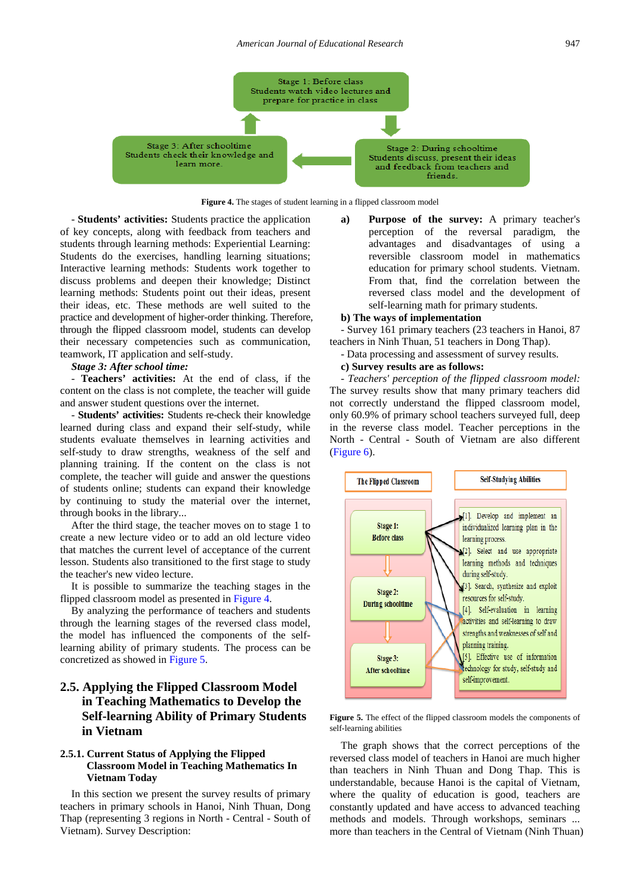

**Figure 4.** The stages of student learning in a flipped classroom model

- **Students' activities:** Students practice the application of key concepts, along with feedback from teachers and students through learning methods: Experiential Learning: Students do the exercises, handling learning situations; Interactive learning methods: Students work together to discuss problems and deepen their knowledge; Distinct learning methods: Students point out their ideas, present their ideas, etc. These methods are well suited to the practice and development of higher-order thinking. Therefore, through the flipped classroom model, students can develop their necessary competencies such as communication, teamwork, IT application and self-study.

#### *Stage 3: After school time:*

- **Teachers' activities:** At the end of class, if the content on the class is not complete, the teacher will guide and answer student questions over the internet.

- **Students' activities:** Students re-check their knowledge learned during class and expand their self-study, while students evaluate themselves in learning activities and self-study to draw strengths, weakness of the self and planning training. If the content on the class is not complete, the teacher will guide and answer the questions of students online; students can expand their knowledge by continuing to study the material over the internet, through books in the library...

After the third stage, the teacher moves on to stage 1 to create a new lecture video or to add an old lecture video that matches the current level of acceptance of the current lesson. Students also transitioned to the first stage to study the teacher's new video lecture.

It is possible to summarize the teaching stages in the flipped classroom model as presented in Figure 4.

By analyzing the performance of teachers and students through the learning stages of the reversed class model, the model has influenced the components of the selflearning ability of primary students. The process can be concretized as showed in Figure 5.

## **2.5. Applying the Flipped Classroom Model in Teaching Mathematics to Develop the Self-learning Ability of Primary Students in Vietnam**

### **2.5.1. Current Status of Applying the Flipped Classroom Model in Teaching Mathematics In Vietnam Today**

In this section we present the survey results of primary teachers in primary schools in Hanoi, Ninh Thuan, Dong Thap (representing 3 regions in North - Central - South of Vietnam). Survey Description:

**a) Purpose of the survey:** A primary teacher's perception of the reversal paradigm, the advantages and disadvantages of using a reversible classroom model in mathematics education for primary school students. Vietnam. From that, find the correlation between the reversed class model and the development of self-learning math for primary students.

#### **b) The ways of implementation**

- Survey 161 primary teachers (23 teachers in Hanoi, 87 teachers in Ninh Thuan, 51 teachers in Dong Thap).

- Data processing and assessment of survey results.

## **c) Survey results are as follows:**

- *Teachers' perception of the flipped classroom model:* The survey results show that many primary teachers did not correctly understand the flipped classroom model, only 60.9% of primary school teachers surveyed full, deep in the reverse class model. Teacher perceptions in the North - Central - South of Vietnam are also different [\(Figure 6\)](#page-7-0).



**Figure 5.** The effect of the flipped classroom models the components of self-learning abilities

The graph shows that the correct perceptions of the reversed class model of teachers in Hanoi are much higher than teachers in Ninh Thuan and Dong Thap. This is understandable, because Hanoi is the capital of Vietnam, where the quality of education is good, teachers are constantly updated and have access to advanced teaching methods and models. Through workshops, seminars ... more than teachers in the Central of Vietnam (Ninh Thuan)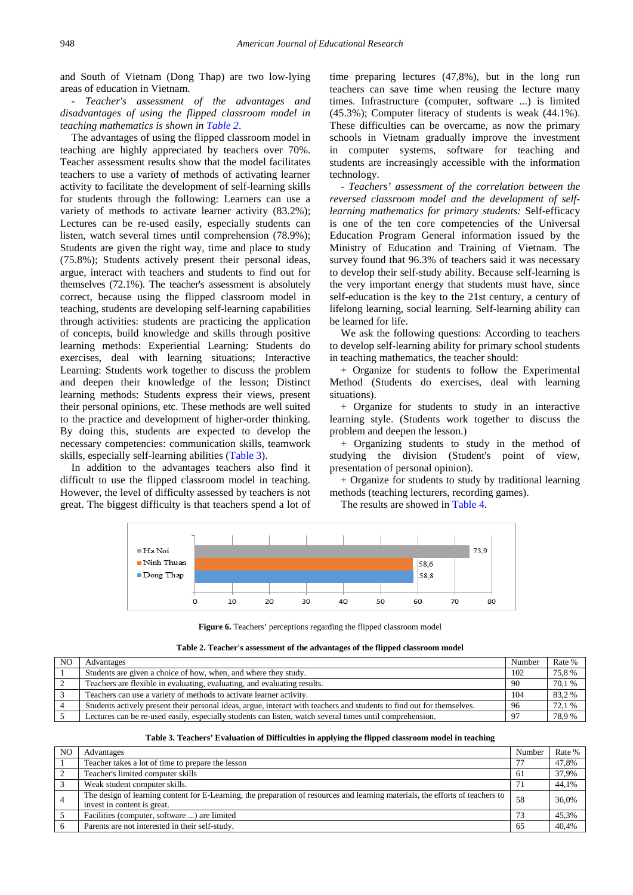and South of Vietnam (Dong Thap) are two low-lying areas of education in Vietnam.

- *Teacher's assessment of the advantages and disadvantages of using the flipped classroom model in teaching mathematics is shown in [Table 2](#page-7-1)*.

The advantages of using the flipped classroom model in teaching are highly appreciated by teachers over 70%. Teacher assessment results show that the model facilitates teachers to use a variety of methods of activating learner activity to facilitate the development of self-learning skills for students through the following: Learners can use a variety of methods to activate learner activity (83.2%); Lectures can be re-used easily, especially students can listen, watch several times until comprehension (78.9%); Students are given the right way, time and place to study (75.8%); Students actively present their personal ideas, argue, interact with teachers and students to find out for themselves (72.1%). The teacher's assessment is absolutely correct, because using the flipped classroom model in teaching, students are developing self-learning capabilities through activities: students are practicing the application of concepts, build knowledge and skills through positive learning methods: Experiential Learning: Students do exercises, deal with learning situations; Interactive Learning: Students work together to discuss the problem and deepen their knowledge of the lesson; Distinct learning methods: Students express their views, present their personal opinions, etc. These methods are well suited to the practice and development of higher-order thinking. By doing this, students are expected to develop the necessary competencies: communication skills, teamwork skills, especially self-learning abilities [\(Table 3\)](#page-7-2).

<span id="page-7-0"></span>In addition to the advantages teachers also find it difficult to use the flipped classroom model in teaching. However, the level of difficulty assessed by teachers is not great. The biggest difficulty is that teachers spend a lot of time preparing lectures (47,8%), but in the long run teachers can save time when reusing the lecture many times. Infrastructure (computer, software ...) is limited (45.3%); Computer literacy of students is weak (44.1%). These difficulties can be overcame, as now the primary schools in Vietnam gradually improve the investment in computer systems, software for teaching and students are increasingly accessible with the information technology.

- *Teachers' assessment of the correlation between the reversed classroom model and the development of selflearning mathematics for primary students:* Self-efficacy is one of the ten core competencies of the Universal Education Program General information issued by the Ministry of Education and Training of Vietnam. The survey found that 96.3% of teachers said it was necessary to develop their self-study ability. Because self-learning is the very important energy that students must have, since self-education is the key to the 21st century, a century of lifelong learning, social learning. Self-learning ability can be learned for life.

We ask the following questions: According to teachers to develop self-learning ability for primary school students in teaching mathematics, the teacher should:

+ Organize for students to follow the Experimental Method (Students do exercises, deal with learning situations).

+ Organize for students to study in an interactive learning style. (Students work together to discuss the problem and deepen the lesson.)

+ Organizing students to study in the method of studying the division (Student's point of view, presentation of personal opinion).

+ Organize for students to study by traditional learning methods (teaching lecturers, recording games).

The results are showed in [Table 4.](#page-8-0)



**Figure 6.** Teachers' perceptions regarding the flipped classroom model

| Table 2. Teacher's assessment of the advantages of the flipped classroom model |  |  |
|--------------------------------------------------------------------------------|--|--|
|                                                                                |  |  |

<span id="page-7-1"></span>

| N <sub>O</sub> | Advantages                                                                                                             | Number    | Rate % |
|----------------|------------------------------------------------------------------------------------------------------------------------|-----------|--------|
|                | Students are given a choice of how, when, and where they study.                                                        | 102       | 75,8%  |
|                | Teachers are flexible in evaluating, evaluating, and evaluating results.                                               | -90       | 70,1 % |
|                | Teachers can use a variety of methods to activate learner activity.                                                    | 104       | 83,2%  |
|                | Students actively present their personal ideas, argue, interact with teachers and students to find out for themselves. | -96       | 72.1 % |
|                | Lectures can be re-used easily, especially students can listen, watch several times until comprehension.               | $Q^{\pi}$ | 78.9%  |

| Table 3. Teachers' Evaluation of Difficulties in applying the flipped classroom model in teaching |  |  |  |  |
|---------------------------------------------------------------------------------------------------|--|--|--|--|
|                                                                                                   |  |  |  |  |

<span id="page-7-2"></span>

| N <sub>O</sub> | Advantages                                                                                                                                                    | Number | Rate % |
|----------------|---------------------------------------------------------------------------------------------------------------------------------------------------------------|--------|--------|
|                | Teacher takes a lot of time to prepare the lesson                                                                                                             | 77     | 47,8%  |
|                | Teacher's limited computer skills                                                                                                                             | 61     | 37,9%  |
|                | Weak student computer skills.                                                                                                                                 |        | 44,1%  |
|                | The design of learning content for E-Learning, the preparation of resources and learning materials, the efforts of teachers to<br>invest in content is great. | 58     | 36.0%  |
|                | Facilities (computer, software ) are limited                                                                                                                  | 73     | 45.3%  |
|                | Parents are not interested in their self-study.                                                                                                               | 65     | 40.4%  |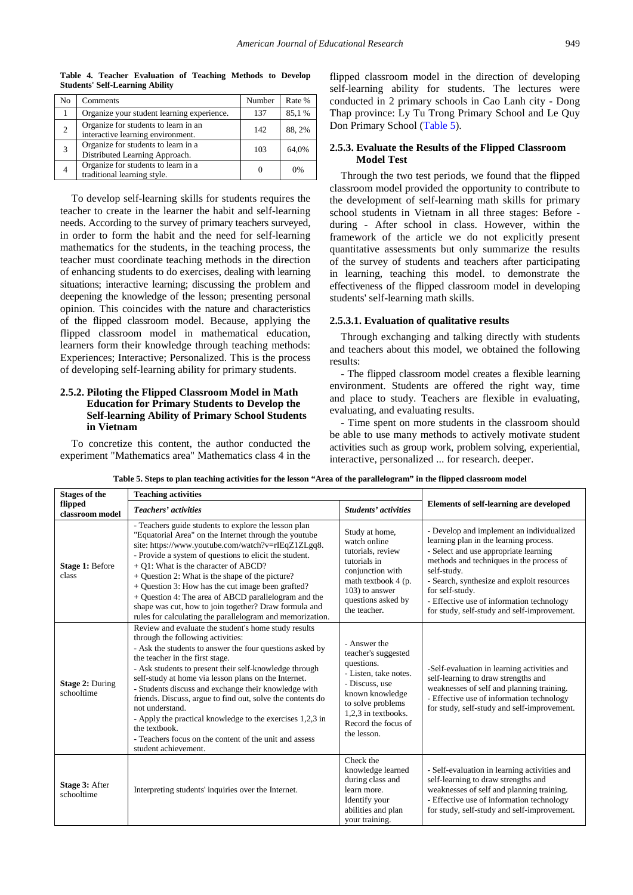**Table 4. Teacher Evaluation of Teaching Methods to Develop Students' Self-Learning Ability**

<span id="page-8-0"></span>

| No | Comments                                                                  | Number | Rate % |
|----|---------------------------------------------------------------------------|--------|--------|
|    | Organize your student learning experience.                                | 137    | 85,1%  |
| 2  | Organize for students to learn in an<br>interactive learning environment. | 142    | 88, 2% |
| 3  | Organize for students to learn in a<br>Distributed Learning Approach.     | 103    | 64,0%  |
|    | Organize for students to learn in a<br>traditional learning style.        |        | 0%     |

To develop self-learning skills for students requires the teacher to create in the learner the habit and self-learning needs. According to the survey of primary teachers surveyed, in order to form the habit and the need for self-learning mathematics for the students, in the teaching process, the teacher must coordinate teaching methods in the direction of enhancing students to do exercises, dealing with learning situations; interactive learning; discussing the problem and deepening the knowledge of the lesson; presenting personal opinion. This coincides with the nature and characteristics of the flipped classroom model. Because, applying the flipped classroom model in mathematical education, learners form their knowledge through teaching methods: Experiences; Interactive; Personalized. This is the process of developing self-learning ability for primary students.

## **2.5.2. Piloting the Flipped Classroom Model in Math Education for Primary Students to Develop the Self-learning Ability of Primary School Students in Vietnam**

To concretize this content, the author conducted the experiment "Mathematics area" Mathematics class 4 in the flipped classroom model in the direction of developing self-learning ability for students. The lectures were conducted in 2 primary schools in Cao Lanh city - Dong Thap province: Ly Tu Trong Primary School and Le Quy Don Primary School [\(Table 5\)](#page-8-1).

#### **2.5.3. Evaluate the Results of the Flipped Classroom Model Test**

Through the two test periods, we found that the flipped classroom model provided the opportunity to contribute to the development of self-learning math skills for primary school students in Vietnam in all three stages: Before during - After school in class. However, within the framework of the article we do not explicitly present quantitative assessments but only summarize the results of the survey of students and teachers after participating in learning, teaching this model. to demonstrate the effectiveness of the flipped classroom model in developing students' self-learning math skills.

#### **2.5.3.1. Evaluation of qualitative results**

Through exchanging and talking directly with students and teachers about this model, we obtained the following results:

- The flipped classroom model creates a flexible learning environment. Students are offered the right way, time and place to study. Teachers are flexible in evaluating, evaluating, and evaluating results.

- Time spent on more students in the classroom should be able to use many methods to actively motivate student activities such as group work, problem solving, experiential, interactive, personalized ... for research. deeper.

<span id="page-8-1"></span>

| <b>Stages of the</b>                 | <b>Teaching activities</b>                                                                                                                                                                                                                                                                                                                                                                                                                                                                                                                                                                                          |                                                                                                                                                                                                   |                                                                                                                                                                                                                                                                                                                                                      |  |
|--------------------------------------|---------------------------------------------------------------------------------------------------------------------------------------------------------------------------------------------------------------------------------------------------------------------------------------------------------------------------------------------------------------------------------------------------------------------------------------------------------------------------------------------------------------------------------------------------------------------------------------------------------------------|---------------------------------------------------------------------------------------------------------------------------------------------------------------------------------------------------|------------------------------------------------------------------------------------------------------------------------------------------------------------------------------------------------------------------------------------------------------------------------------------------------------------------------------------------------------|--|
| flipped<br>classroom model           | <b>Teachers' activities</b>                                                                                                                                                                                                                                                                                                                                                                                                                                                                                                                                                                                         | Students' activities                                                                                                                                                                              | <b>Elements of self-learning are developed</b>                                                                                                                                                                                                                                                                                                       |  |
| Stage 1: Before<br>class             | - Teachers guide students to explore the lesson plan<br>"Equatorial Area" on the Internet through the youtube<br>site: https://www.youtube.com/watch?v=rIEqZ1ZLgq8.<br>- Provide a system of questions to elicit the student.<br>+ Q1: What is the character of ABCD?<br>+ Question 2: What is the shape of the picture?<br>+ Question 3: How has the cut image been grafted?<br>+ Question 4: The area of ABCD parallelogram and the<br>shape was cut, how to join together? Draw formula and<br>rules for calculating the parallelogram and memorization.                                                         | Study at home,<br>watch online<br>tutorials, review<br>tutorials in<br>conjunction with<br>math textbook 4 (p.<br>103) to answer<br>questions asked by<br>the teacher.                            | - Develop and implement an individualized<br>learning plan in the learning process.<br>- Select and use appropriate learning<br>methods and techniques in the process of<br>self-study.<br>- Search, synthesize and exploit resources<br>for self-study.<br>- Effective use of information technology<br>for study, self-study and self-improvement. |  |
| <b>Stage 2: During</b><br>schooltime | Review and evaluate the student's home study results<br>through the following activities:<br>- Ask the students to answer the four questions asked by<br>the teacher in the first stage.<br>- Ask students to present their self-knowledge through<br>self-study at home via lesson plans on the Internet.<br>- Students discuss and exchange their knowledge with<br>friends. Discuss, argue to find out, solve the contents do<br>not understand.<br>- Apply the practical knowledge to the exercises 1,2,3 in<br>the textbook.<br>- Teachers focus on the content of the unit and assess<br>student achievement. | - Answer the<br>teacher's suggested<br>questions.<br>- Listen, take notes.<br>- Discuss, use<br>known knowledge<br>to solve problems<br>1,2,3 in textbooks.<br>Record the focus of<br>the lesson. | -Self-evaluation in learning activities and<br>self-learning to draw strengths and<br>weaknesses of self and planning training.<br>- Effective use of information technology<br>for study, self-study and self-improvement.                                                                                                                          |  |
| Stage 3: After<br>schooltime         | Interpreting students' inquiries over the Internet.                                                                                                                                                                                                                                                                                                                                                                                                                                                                                                                                                                 | Check the<br>knowledge learned<br>during class and<br>learn more.<br>Identify your<br>abilities and plan<br>your training.                                                                        | - Self-evaluation in learning activities and<br>self-learning to draw strengths and<br>weaknesses of self and planning training.<br>- Effective use of information technology<br>for study, self-study and self-improvement.                                                                                                                         |  |

**Table 5. Steps to plan teaching activities for the lesson "Area of the parallelogram" in the flipped classroom model**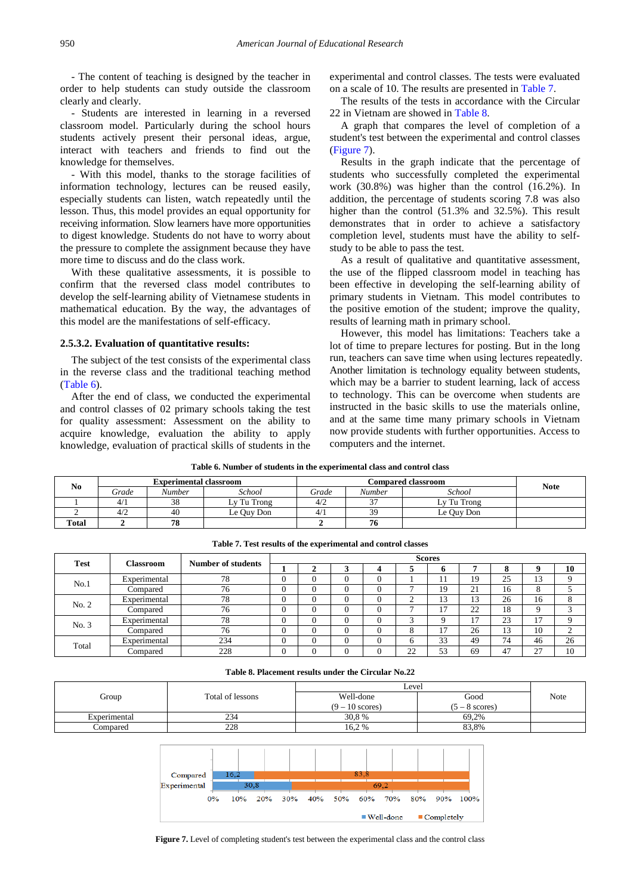- The content of teaching is designed by the teacher in order to help students can study outside the classroom clearly and clearly.

- Students are interested in learning in a reversed classroom model. Particularly during the school hours students actively present their personal ideas, argue, interact with teachers and friends to find out the knowledge for themselves.

- With this model, thanks to the storage facilities of information technology, lectures can be reused easily, especially students can listen, watch repeatedly until the lesson. Thus, this model provides an equal opportunity for receiving information. Slow learners have more opportunities to digest knowledge. Students do not have to worry about the pressure to complete the assignment because they have more time to discuss and do the class work.

With these qualitative assessments, it is possible to confirm that the reversed class model contributes to develop the self-learning ability of Vietnamese students in mathematical education. By the way, the advantages of this model are the manifestations of self-efficacy.

#### **2.5.3.2. Evaluation of quantitative results:**

The subject of the test consists of the experimental class in the reverse class and the traditional teaching method [\(Table 6\)](#page-9-0).

After the end of class, we conducted the experimental and control classes of 02 primary schools taking the test for quality assessment: Assessment on the ability to acquire knowledge, evaluation the ability to apply knowledge, evaluation of practical skills of students in the experimental and control classes. The tests were evaluated on a scale of 10. The results are presented in [Table 7.](#page-9-1)

The results of the tests in accordance with the Circular 22 in Vietnam are showed in [Table 8.](#page-9-2)

A graph that compares the level of completion of a student's test between the experimental and control classes [\(Figure 7\)](#page-9-3).

Results in the graph indicate that the percentage of students who successfully completed the experimental work (30.8%) was higher than the control (16.2%). In addition, the percentage of students scoring 7.8 was also higher than the control (51.3% and 32.5%). This result demonstrates that in order to achieve a satisfactory completion level, students must have the ability to selfstudy to be able to pass the test.

As a result of qualitative and quantitative assessment, the use of the flipped classroom model in teaching has been effective in developing the self-learning ability of primary students in Vietnam. This model contributes to the positive emotion of the student; improve the quality, results of learning math in primary school.

However, this model has limitations: Teachers take a lot of time to prepare lectures for posting. But in the long run, teachers can save time when using lectures repeatedly. Another limitation is technology equality between students, which may be a barrier to student learning, lack of access to technology. This can be overcome when students are instructed in the basic skills to use the materials online, and at the same time many primary schools in Vietnam now provide students with further opportunities. Access to computers and the internet.

**Table 6. Number of students in the experimental class and control class**

<span id="page-9-0"></span>

| N <sub>0</sub> | <b>Experimental classroom</b> |                 |             |       | <b>Note</b> |             |  |
|----------------|-------------------------------|-----------------|-------------|-------|-------------|-------------|--|
|                | Grade                         | Number          | School      | Grade | Number      | School      |  |
|                | 4/1                           | $\bigcap$<br>28 | Lv Tu Trong | 4/2   | $\sim$      | Ly Tu Trong |  |
|                | 4/2                           | 40              | Le Ouy Don  | 4/1   | 30          | Le Ouy Don  |  |
| <b>Total</b>   |                               | 70<br>8١        |             |       | 10          |             |  |

<span id="page-9-1"></span>

|             |                  |                    | <b>Scores</b> |  |          |  |                |                |    |        |          |         |
|-------------|------------------|--------------------|---------------|--|----------|--|----------------|----------------|----|--------|----------|---------|
| <b>Test</b> | <b>Classroom</b> | Number of students |               |  |          |  |                | Ð              |    | o<br>0 | U        | 10      |
|             | Experimental     | 78                 | U             |  |          |  |                |                | 19 | 25     | 13       |         |
| No.1        | Compared         | 76                 | U             |  | $\Omega$ |  |                | 19             | 21 | 16     | 8        |         |
| No. 2       | Experimental     | 78                 | U             |  |          |  | $\sim$<br>∼    | 1 <sub>2</sub> | 13 | 26     | 16       | $\circ$ |
|             | Compared         | 76                 | U             |  |          |  |                | -              | 22 | 18     | $\Omega$ | $\sim$  |
|             | Experimental     | 78                 | U             |  |          |  | ∽              |                | 17 | 23     | 17       |         |
| No. 3       | Compared         | 76                 | U             |  |          |  | 8              |                | 26 | 13     | 10       | $\sim$  |
| Total       | Experimental     | 234                | v             |  |          |  | h              | 33             | 49 | 74     | 46       | 26      |
|             | Compared         | 228                | U             |  |          |  | $\gamma$<br>∠∠ | 53             | 69 | 47     | 27       | 10      |

**Table 7. Test results of the experimental and control classes**

| Table 8. Placement results under the Circular No.22 |  |  |  |  |  |  |
|-----------------------------------------------------|--|--|--|--|--|--|
|-----------------------------------------------------|--|--|--|--|--|--|

<span id="page-9-3"></span><span id="page-9-2"></span>

|              |                  | Level           |                 |      |
|--------------|------------------|-----------------|-----------------|------|
| Group        | Total of lessons | Well-done       | Good            | Note |
|              |                  | $(9-10$ scores) | $v - 8$ scores) |      |
| Experimental | 234              | 30.8 %          | 69.2%           |      |
| ∟'ompared    | 228              | 16.2%           | 83.8%           |      |



**Figure 7.** Level of completing student's test between the experimental class and the control class